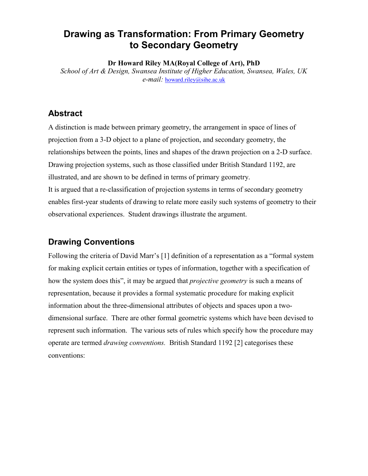# **Drawing as Transformation: From Primary Geometry to Secondary Geometry**

**Dr Howard Riley MA(Royal College of Art), PhD**

*School of Art & Design, Swansea Institute of Higher Education, Swansea, Wales, UK e-mail:* howard.riley@sihe.ac.uk

## **Abstract**

A distinction is made between primary geometry, the arrangement in space of lines of projection from a 3-D object to a plane of projection, and secondary geometry, the relationships between the points, lines and shapes of the drawn projection on a 2-D surface. Drawing projection systems, such as those classified under British Standard 1192, are illustrated, and are shown to be defined in terms of primary geometry. It is argued that a re-classification of projection systems in terms of secondary geometry enables first-year students of drawing to relate more easily such systems of geometry to their observational experiences. Student drawings illustrate the argument.

## **Drawing Conventions**

Following the criteria of David Marr's [1] definition of a representation as a "formal system for making explicit certain entities or types of information, together with a specification of how the system does this", it may be argued that *projective geometry* is such a means of representation, because it provides a formal systematic procedure for making explicit information about the three-dimensional attributes of objects and spaces upon a twodimensional surface. There are other formal geometric systems which have been devised to represent such information. The various sets of rules which specify how the procedure may operate are termed *drawing conventions.* British Standard 1192 [2] categorises these conventions: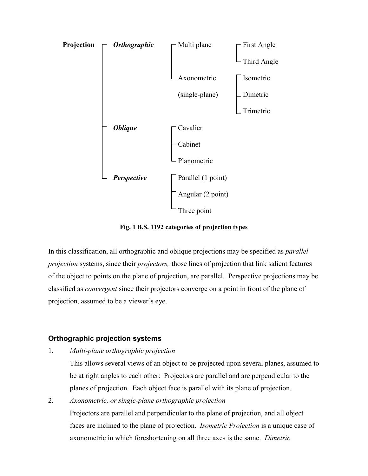

**Fig. 1 B.S. 1192 categories of projection types**

In this classification, all orthographic and oblique projections may be specified as *parallel projection* systems, since their *projectors,* those lines of projection that link salient features of the object to points on the plane of projection, are parallel. Perspective projections may be classified as *convergent* since their projectors converge on a point in front of the plane of projection, assumed to be a viewer's eye.

### **Orthographic projection systems**

1. *Multi-plane orthographic projection*

This allows several views of an object to be projected upon several planes, assumed to be at right angles to each other: Projectors are parallel and are perpendicular to the planes of projection. Each object face is parallel with its plane of projection.

2. *Axonometric, or single-plane orthographic projection* Projectors are parallel and perpendicular to the plane of projection, and all object faces are inclined to the plane of projection. *Isometric Projection* is a unique case of axonometric in which foreshortening on all three axes is the same. *Dimetric*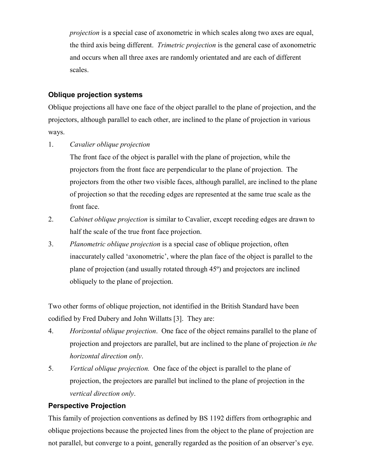*projection* is a special case of axonometric in which scales along two axes are equal, the third axis being different. *Trimetric projection* is the general case of axonometric and occurs when all three axes are randomly orientated and are each of different scales.

### **Oblique projection systems**

Oblique projections all have one face of the object parallel to the plane of projection, and the projectors, although parallel to each other, are inclined to the plane of projection in various ways.

1. *Cavalier oblique projection*

The front face of the object is parallel with the plane of projection, while the projectors from the front face are perpendicular to the plane of projection. The projectors from the other two visible faces, although parallel, are inclined to the plane of projection so that the receding edges are represented at the same true scale as the front face.

- 2. *Cabinet oblique projection* is similar to Cavalier, except receding edges are drawn to half the scale of the true front face projection.
- 3. *Planometric oblique projection* is a special case of oblique projection, often inaccurately called 'axonometric', where the plan face of the object is parallel to the plane of projection (and usually rotated through 45º) and projectors are inclined obliquely to the plane of projection.

Two other forms of oblique projection, not identified in the British Standard have been codified by Fred Dubery and John Willatts [3]. They are:

- 4. *Horizontal oblique projection*. One face of the object remains parallel to the plane of projection and projectors are parallel, but are inclined to the plane of projection *in the horizontal direction only*.
- 5. *Vertical oblique projection.* One face of the object is parallel to the plane of projection, the projectors are parallel but inclined to the plane of projection in the *vertical direction only*.

### **Perspective Projection**

This family of projection conventions as defined by BS 1192 differs from orthographic and oblique projections because the projected lines from the object to the plane of projection are not parallel, but converge to a point, generally regarded as the position of an observer's eye.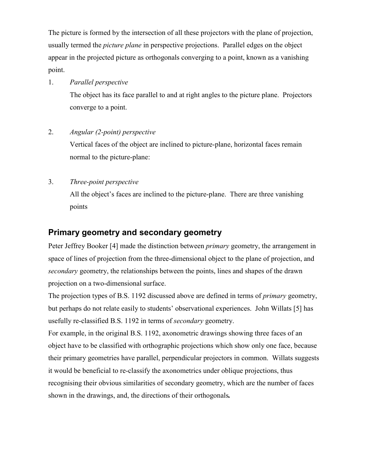The picture is formed by the intersection of all these projectors with the plane of projection, usually termed the *picture plane* in perspective projections. Parallel edges on the object appear in the projected picture as orthogonals converging to a point, known as a vanishing point.

#### 1. *Parallel perspective*

The object has its face parallel to and at right angles to the picture plane. Projectors converge to a point.

### 2. *Angular (2-point) perspective*

Vertical faces of the object are inclined to picture-plane, horizontal faces remain normal to the picture-plane:

### 3. *Three-point perspective*

All the object's faces are inclined to the picture-plane. There are three vanishing points

## **Primary geometry and secondary geometry**

Peter Jeffrey Booker [4] made the distinction between *primary* geometry, the arrangement in space of lines of projection from the three-dimensional object to the plane of projection, and *secondary* geometry, the relationships between the points, lines and shapes of the drawn projection on a two-dimensional surface.

The projection types of B.S. 1192 discussed above are defined in terms of *primary* geometry, but perhaps do not relate easily to students' observational experiences. John Willats [5] has usefully re-classified B.S. 1192 in terms of *secondary* geometry.

For example, in the original B.S. 1192, axonometric drawings showing three faces of an object have to be classified with orthographic projections which show only one face, because their primary geometries have parallel, perpendicular projectors in common. Willats suggests it would be beneficial to re-classify the axonometrics under oblique projections, thus recognising their obvious similarities of secondary geometry, which are the number of faces shown in the drawings, and, the directions of their orthogonals*.*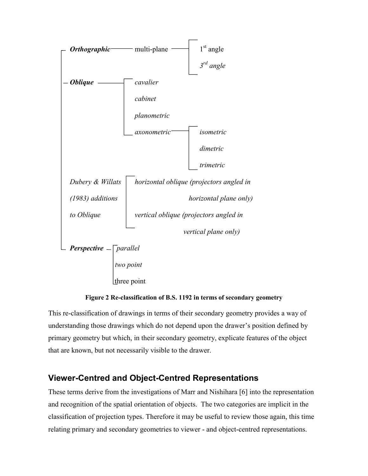



This re-classification of drawings in terms of their secondary geometry provides a way of understanding those drawings which do not depend upon the drawer's position defined by primary geometry but which, in their secondary geometry, explicate features of the object that are known, but not necessarily visible to the drawer.

# **Viewer-Centred and Object-Centred Representations**

These terms derive from the investigations of Marr and Nishihara [6] into the representation and recognition of the spatial orientation of objects. The two categories are implicit in the classification of projection types. Therefore it may be useful to review those again, this time relating primary and secondary geometries to viewer - and object-centred representations.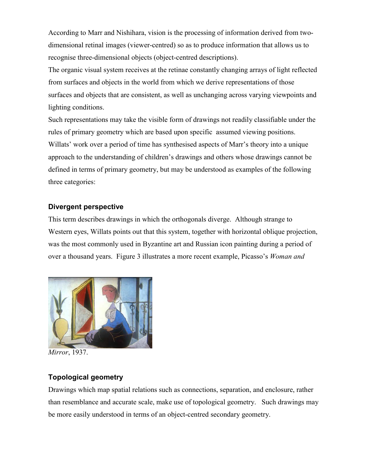According to Marr and Nishihara, vision is the processing of information derived from twodimensional retinal images (viewer-centred) so as to produce information that allows us to recognise three-dimensional objects (object-centred descriptions).

The organic visual system receives at the retinae constantly changing arrays of light reflected from surfaces and objects in the world from which we derive representations of those surfaces and objects that are consistent, as well as unchanging across varying viewpoints and lighting conditions.

Such representations may take the visible form of drawings not readily classifiable under the rules of primary geometry which are based upon specific assumed viewing positions. Willats' work over a period of time has synthesised aspects of Marr's theory into a unique approach to the understanding of children's drawings and others whose drawings cannot be defined in terms of primary geometry, but may be understood as examples of the following three categories:

### **Divergent perspective**

This term describes drawings in which the orthogonals diverge. Although strange to Western eyes, Willats points out that this system, together with horizontal oblique projection, was the most commonly used in Byzantine art and Russian icon painting during a period of over a thousand years. Figure 3 illustrates a more recent example, Picasso's *Woman and*



*Mirror*, 1937.

## **Topological geometry**

Drawings which map spatial relations such as connections, separation, and enclosure, rather than resemblance and accurate scale, make use of topological geometry. Such drawings may be more easily understood in terms of an object-centred secondary geometry.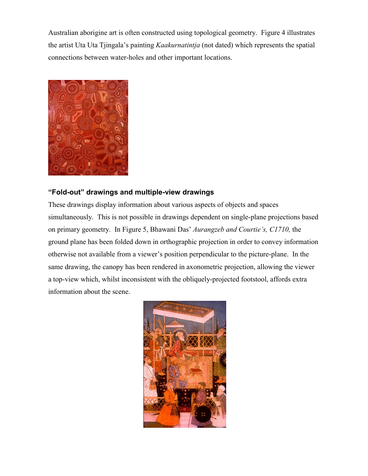Australian aborigine art is often constructed using topological geometry. Figure 4 illustrates the artist Uta Uta Tjingala's painting *Kaakurnatintja* (not dated) which represents the spatial connections between water-holes and other important locations.



### **"Fold-out" drawings and multiple-view drawings**

These drawings display information about various aspects of objects and spaces simultaneously. This is not possible in drawings dependent on single-plane projections based on primary geometry. In Figure 5, Bhawani Das' *Aurangzeb and Courtie's, C1710,* the ground plane has been folded down in orthographic projection in order to convey information otherwise not available from a viewer's position perpendicular to the picture-plane. In the same drawing, the canopy has been rendered in axonometric projection, allowing the viewer a top-view which, whilst inconsistent with the obliquely-projected footstool, affords extra information about the scene.

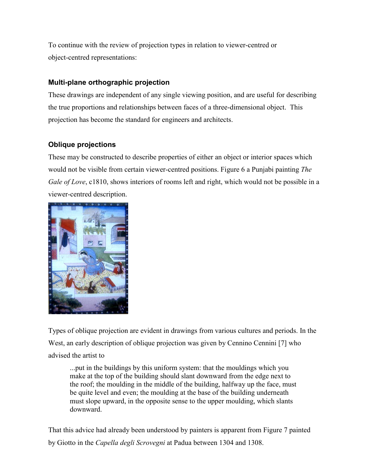To continue with the review of projection types in relation to viewer-centred or object-centred representations:

### **Multi-plane orthographic projection**

These drawings are independent of any single viewing position, and are useful for describing the true proportions and relationships between faces of a three-dimensional object. This projection has become the standard for engineers and architects.

### **Oblique projections**

These may be constructed to describe properties of either an object or interior spaces which would not be visible from certain viewer-centred positions. Figure 6 a Punjabi painting *The Gale of Love*, c1810, shows interiors of rooms left and right, which would not be possible in a viewer-centred description.



Types of oblique projection are evident in drawings from various cultures and periods. In the West, an early description of oblique projection was given by Cennino Cennini [7] who advised the artist to

...put in the buildings by this uniform system: that the mouldings which you make at the top of the building should slant downward from the edge next to the roof; the moulding in the middle of the building, halfway up the face, must be quite level and even; the moulding at the base of the building underneath must slope upward, in the opposite sense to the upper moulding, which slants downward.

That this advice had already been understood by painters is apparent from Figure 7 painted by Giotto in the *Capella degli Scrovegni* at Padua between 1304 and 1308.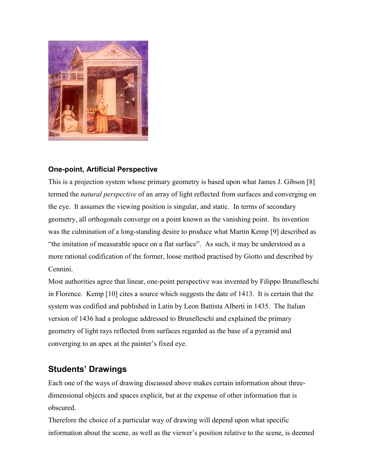

### **One-point, Artificial Perspective**

This is a projection system whose primary geometry is based upon what James J. Gibson [8] termed the *natural perspective* of an array of light reflected from surfaces and converging on the eye. It assumes the viewing position is singular, and static. In terms of secondary geometry, all orthogonals converge on a point known as the vanishing point. Its invention was the culmination of a long-standing desire to produce what Martin Kemp [9] described as "the imitation of measurable space on a flat surface". As such, it may be understood as a more rational codification of the former, loose method practised by Giotto and described by Cennini.

Most authorities agree that linear, one-point perspective was invented by Filippo Brunelleschi in Florence. Kemp [10] cites a source which suggests the date of 1413. It is certain that the system was codified and published in Latin by Leon Battista Alberti in 1435. The Italian version of 1436 had a prologue addressed to Brunelleschi and explained the primary geometry of light rays reflected from surfaces regarded as the base of a pyramid and converging to an apex at the painter's fixed eye.

# **Students' Drawings**

Each one of the ways of drawing discussed above makes certain information about threedimensional objects and spaces explicit, but at the expense of other information that is obscured.

Therefore the choice of a particular way of drawing will depend upon what specific information about the scene, as well as the viewer's position relative to the scene, is deemed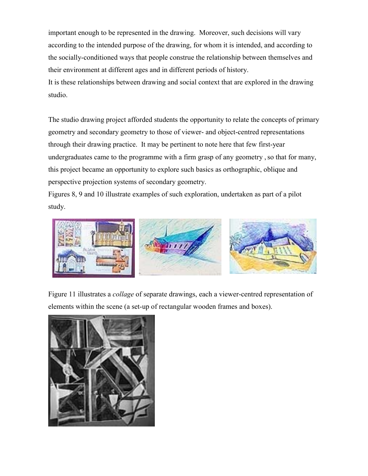important enough to be represented in the drawing. Moreover, such decisions will vary according to the intended purpose of the drawing, for whom it is intended, and according to the socially-conditioned ways that people construe the relationship between themselves and their environment at different ages and in different periods of history.

It is these relationships between drawing and social context that are explored in the drawing studio.

The studio drawing project afforded students the opportunity to relate the concepts of primary geometry and secondary geometry to those of viewer- and object-centred representations through their drawing practice. It may be pertinent to note here that few first-year undergraduates came to the programme with a firm grasp of any geometry, so that for many, this project became an opportunity to explore such basics as orthographic, oblique and perspective projection systems of secondary geometry.

Figures 8, 9 and 10 illustrate examples of such exploration, undertaken as part of a pilot study.



Figure 11 illustrates a *collage* of separate drawings, each a viewer-centred representation of elements within the scene (a set-up of rectangular wooden frames and boxes).

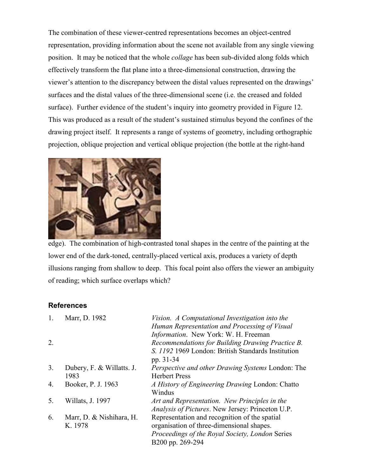The combination of these viewer-centred representations becomes an object-centred representation, providing information about the scene not available from any single viewing position. It may be noticed that the whole *collage* has been sub-divided along folds which effectively transform the flat plane into a three-dimensional construction, drawing the viewer's attention to the discrepancy between the distal values represented on the drawings' surfaces and the distal values of the three-dimensional scene (i.e. the creased and folded surface). Further evidence of the student's inquiry into geometry provided in Figure 12. This was produced as a result of the student's sustained stimulus beyond the confines of the drawing project itself. It represents a range of systems of geometry, including orthographic projection, oblique projection and vertical oblique projection (the bottle at the right-hand



edge). The combination of high-contrasted tonal shapes in the centre of the painting at the lower end of the dark-toned, centrally-placed vertical axis, produces a variety of depth illusions ranging from shallow to deep. This focal point also offers the viewer an ambiguity of reading; which surface overlaps which?

### **References**

| 1. | Marr, D. 1982             | Vision. A Computational Investigation into the           |
|----|---------------------------|----------------------------------------------------------|
|    |                           | Human Representation and Processing of Visual            |
|    |                           | <i>Information.</i> New York: W. H. Freeman              |
| 2. |                           | Recommendations for Building Drawing Practice B.         |
|    |                           | S. 1192 1969 London: British Standards Institution       |
|    |                           | pp. 31-34                                                |
| 3. | Dubery, F. & Willatts. J. | <i>Perspective and other Drawing Systems London: The</i> |
|    | 1983                      | <b>Herbert Press</b>                                     |
| 4. | Booker, P. J. 1963        | A History of Engineering Drawing London: Chatto          |
|    |                           | Windus                                                   |
| 5. | Willats, J. 1997          | Art and Representation. New Principles in the            |
|    |                           | Analysis of Pictures. New Jersey: Princeton U.P.         |
| 6. | Marr, D. & Nishihara, H.  | Representation and recognition of the spatial            |
|    | K. 1978                   | organisation of three-dimensional shapes.                |
|    |                           | <i>Proceedings of the Royal Society, London Series</i>   |
|    |                           | B200 pp. 269-294                                         |